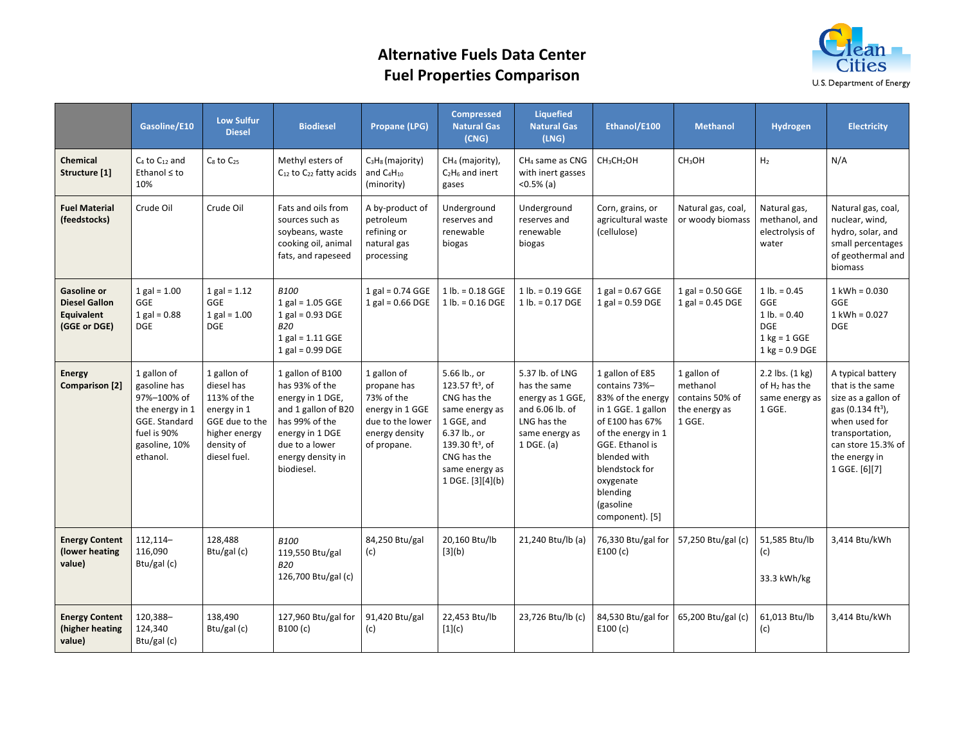## **Alternative Fuels Data Center Fuel Properties Comparison**



|                                                                          | Gasoline/E10                                                                                                               | <b>Low Sulfur</b><br><b>Diesel</b>                                                                                       | <b>Biodiesel</b>                                                                                                                                                        | <b>Propane (LPG)</b>                                                                                             | <b>Compressed</b><br><b>Natural Gas</b><br>(CNG)                                                                                                                                               | <b>Liquefied</b><br><b>Natural Gas</b><br>(LNG)                                                                         | Ethanol/E100                                                                                                                                                                                                                       | <b>Methanol</b>                                                       | Hydrogen                                                                                                                    | <b>Electricity</b>                                                                                                                                                                        |
|--------------------------------------------------------------------------|----------------------------------------------------------------------------------------------------------------------------|--------------------------------------------------------------------------------------------------------------------------|-------------------------------------------------------------------------------------------------------------------------------------------------------------------------|------------------------------------------------------------------------------------------------------------------|------------------------------------------------------------------------------------------------------------------------------------------------------------------------------------------------|-------------------------------------------------------------------------------------------------------------------------|------------------------------------------------------------------------------------------------------------------------------------------------------------------------------------------------------------------------------------|-----------------------------------------------------------------------|-----------------------------------------------------------------------------------------------------------------------------|-------------------------------------------------------------------------------------------------------------------------------------------------------------------------------------------|
| Chemical<br>Structure [1]                                                | $C_4$ to $C_{12}$ and<br>Ethanol ≤ to<br>10%                                                                               | $C_8$ to $C_{25}$                                                                                                        | Methyl esters of<br>C <sub>12</sub> to C <sub>22</sub> fatty acids                                                                                                      | $C_3H_8$ (majority)<br>and C <sub>4</sub> H <sub>10</sub><br>(minority)                                          | CH <sub>4</sub> (majority),<br>$C_2H_6$ and inert<br>gases                                                                                                                                     | CH <sub>4</sub> same as CNG<br>with inert gasses<br>$<$ 0.5% (a)                                                        | CH <sub>3</sub> CH <sub>2</sub> OH                                                                                                                                                                                                 | CH <sub>3</sub> OH                                                    | H <sub>2</sub>                                                                                                              | N/A                                                                                                                                                                                       |
| <b>Fuel Material</b><br>(feedstocks)                                     | Crude Oil                                                                                                                  | Crude Oil                                                                                                                | Fats and oils from<br>sources such as<br>soybeans, waste<br>cooking oil, animal<br>fats, and rapeseed                                                                   | A by-product of<br>petroleum<br>refining or<br>natural gas<br>processing                                         | Underground<br>reserves and<br>renewable<br>biogas                                                                                                                                             | Underground<br>reserves and<br>renewable<br>biogas                                                                      | Corn, grains, or<br>agricultural waste<br>(cellulose)                                                                                                                                                                              | Natural gas, coal,<br>or woody biomass                                | Natural gas,<br>methanol, and<br>electrolysis of<br>water                                                                   | Natural gas, coal,<br>nuclear, wind,<br>hydro, solar, and<br>small percentages<br>of geothermal and<br>biomass                                                                            |
| <b>Gasoline or</b><br><b>Diesel Gallon</b><br>Equivalent<br>(GGE or DGE) | $1 gal = 1.00$<br><b>GGE</b><br>$1 gal = 0.88$<br><b>DGE</b>                                                               | $1 gal = 1.12$<br>GGE<br>$1$ gal = $1.00$<br><b>DGE</b>                                                                  | <b>B100</b><br>$1$ gal = $1.05$ GGE<br>$1$ gal = 0.93 DGE<br>B20<br>$1$ gal = 1.11 GGE<br>$1$ gal = 0.99 DGE                                                            | $1$ gal = 0.74 GGE<br>1 gal = $0.66$ DGE                                                                         | $1 lb. = 0.18 GGE$<br>$1 lb. = 0.16 DGE$                                                                                                                                                       | $1 lb. = 0.19 GGE$<br>$1 lb. = 0.17 DGE$                                                                                | $1$ gal = 0.67 GGE<br>$1$ gal = 0.59 DGE                                                                                                                                                                                           | $1$ gal = 0.50 GGE<br>$1$ gal = 0.45 DGE                              | $1 lb. = 0.45$<br>GGE<br>$1 lb. = 0.40$<br><b>DGE</b><br>$1 \text{ kg} = 1 \text{ GGE}$<br>$1 \text{ kg} = 0.9 \text{ DGE}$ | $1$ kWh = 0.030<br>GGE<br>$1$ kWh = 0.027<br><b>DGE</b>                                                                                                                                   |
| <b>Energy</b><br><b>Comparison</b> [2]                                   | 1 gallon of<br>gasoline has<br>97%-100% of<br>the energy in 1<br>GGE. Standard<br>fuel is 90%<br>gasoline, 10%<br>ethanol. | 1 gallon of<br>diesel has<br>113% of the<br>energy in 1<br>GGE due to the<br>higher energy<br>density of<br>diesel fuel. | 1 gallon of B100<br>has 93% of the<br>energy in 1 DGE,<br>and 1 gallon of B20<br>has 99% of the<br>energy in 1 DGE<br>due to a lower<br>energy density in<br>biodiesel. | 1 gallon of<br>propane has<br>73% of the<br>energy in 1 GGE<br>due to the lower<br>energy density<br>of propane. | 5.66 lb., or<br>123.57 ft <sup>3</sup> , of<br>CNG has the<br>same energy as<br>1 GGE, and<br>6.37 lb., or<br>139.30 ft <sup>3</sup> , of<br>CNG has the<br>same energy as<br>1 DGE. [3][4](b) | 5.37 lb. of LNG<br>has the same<br>energy as 1 GGE,<br>and 6.06 lb. of<br>LNG has the<br>same energy as<br>$1$ DGE. (a) | 1 gallon of E85<br>contains 73%-<br>83% of the energy<br>in 1 GGE. 1 gallon<br>of E100 has 67%<br>of the energy in 1<br>GGE. Ethanol is<br>blended with<br>blendstock for<br>oxygenate<br>blending<br>(gasoline<br>component). [5] | 1 gallon of<br>methanol<br>contains 50% of<br>the energy as<br>1 GGE. | 2.2 lbs. (1 kg)<br>of H <sub>2</sub> has the<br>same energy as<br>1 GGE.                                                    | A typical battery<br>that is the same<br>size as a gallon of<br>gas (0.134 ft <sup>3</sup> ),<br>when used for<br>transportation,<br>can store 15.3% of<br>the energy in<br>1 GGE. [6][7] |
| <b>Energy Content</b><br>(lower heating<br>value)                        | 112,114-<br>116,090<br>Btu/gal $(c)$                                                                                       | 128,488<br>Btu/gal (c)                                                                                                   | <b>B100</b><br>119,550 Btu/gal<br><b>B20</b><br>126,700 Btu/gal (c)                                                                                                     | 84,250 Btu/gal<br>(c)                                                                                            | 20,160 Btu/lb<br>[3](b)                                                                                                                                                                        | 21,240 Btu/lb (a)                                                                                                       | 76,330 Btu/gal for<br>E100(c)                                                                                                                                                                                                      | 57,250 Btu/gal (c)                                                    | 51,585 Btu/lb<br>(c)<br>33.3 kWh/kg                                                                                         | 3,414 Btu/kWh                                                                                                                                                                             |
| <b>Energy Content</b><br>(higher heating<br>value)                       | 120,388-<br>124,340<br>Btu/gal (c)                                                                                         | 138,490<br>Btu/gal (c)                                                                                                   | 127,960 Btu/gal for<br>B100 (c)                                                                                                                                         | 91,420 Btu/gal<br>(c)                                                                                            | 22,453 Btu/lb<br>[1](c)                                                                                                                                                                        | 23,726 Btu/lb (c)                                                                                                       | 84,530 Btu/gal for<br>E100(c)                                                                                                                                                                                                      | 65,200 Btu/gal (c)                                                    | 61,013 Btu/lb<br>(c)                                                                                                        | 3,414 Btu/kWh                                                                                                                                                                             |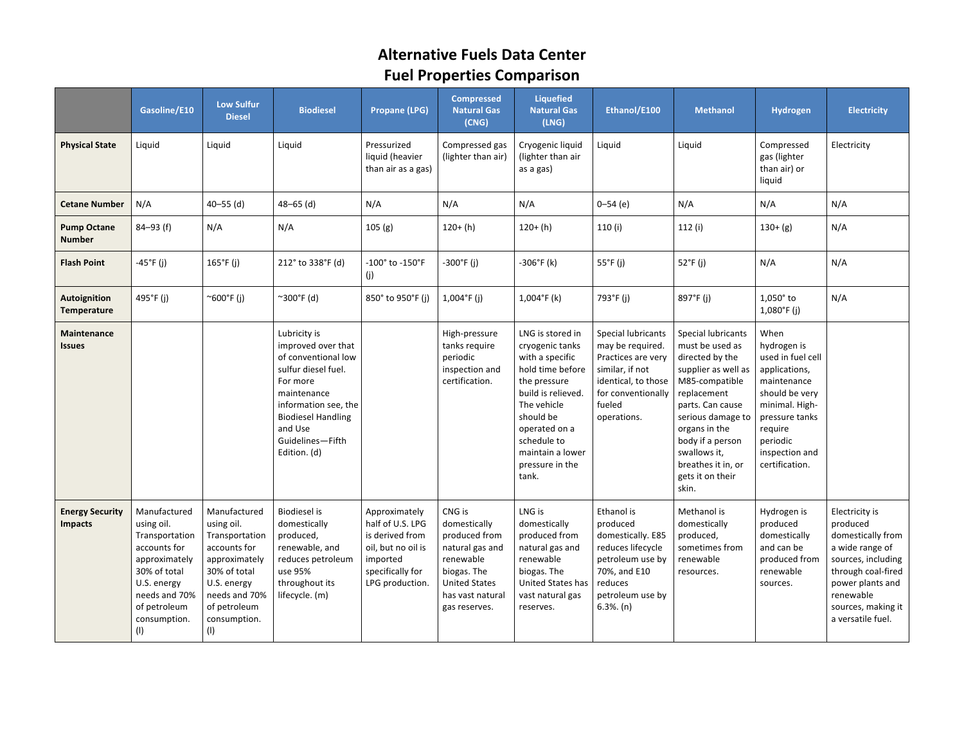# **Alternative Fuels Data Center Fuel Properties Comparison**

|                                          | Gasoline/E10                                                                                                                                                         | <b>Low Sulfur</b><br><b>Diesel</b>                                                                                                                                   | <b>Biodiesel</b>                                                                                                                                                                                                | <b>Propane (LPG)</b>                                                                                                          | <b>Compressed</b><br><b>Natural Gas</b><br>(CNG)                                                                                                    | <b>Liquefied</b><br><b>Natural Gas</b><br>(LNG)                                                                                                                                                                              | Ethanol/E100                                                                                                                                          | <b>Methanol</b>                                                                                                                                                                                                                                                   | Hydrogen                                                                                                                                                                                  | <b>Electricity</b>                                                                                                                                                                         |
|------------------------------------------|----------------------------------------------------------------------------------------------------------------------------------------------------------------------|----------------------------------------------------------------------------------------------------------------------------------------------------------------------|-----------------------------------------------------------------------------------------------------------------------------------------------------------------------------------------------------------------|-------------------------------------------------------------------------------------------------------------------------------|-----------------------------------------------------------------------------------------------------------------------------------------------------|------------------------------------------------------------------------------------------------------------------------------------------------------------------------------------------------------------------------------|-------------------------------------------------------------------------------------------------------------------------------------------------------|-------------------------------------------------------------------------------------------------------------------------------------------------------------------------------------------------------------------------------------------------------------------|-------------------------------------------------------------------------------------------------------------------------------------------------------------------------------------------|--------------------------------------------------------------------------------------------------------------------------------------------------------------------------------------------|
| <b>Physical State</b>                    | Liquid                                                                                                                                                               | Liquid                                                                                                                                                               | Liquid                                                                                                                                                                                                          | Pressurized<br>liquid (heavier<br>than air as a gas)                                                                          | Compressed gas<br>(lighter than air)                                                                                                                | Cryogenic liquid<br>(lighter than air<br>as a gas)                                                                                                                                                                           | Liquid                                                                                                                                                | Liquid                                                                                                                                                                                                                                                            | Compressed<br>gas (lighter<br>than air) or<br>liquid                                                                                                                                      | Electricity                                                                                                                                                                                |
| <b>Cetane Number</b>                     | N/A                                                                                                                                                                  | $40 - 55$ (d)                                                                                                                                                        | $48 - 65$ (d)                                                                                                                                                                                                   | N/A                                                                                                                           | N/A                                                                                                                                                 | N/A                                                                                                                                                                                                                          | $0 - 54$ (e)                                                                                                                                          | N/A                                                                                                                                                                                                                                                               | N/A                                                                                                                                                                                       | N/A                                                                                                                                                                                        |
| <b>Pump Octane</b><br><b>Number</b>      | $84 - 93$ (f)                                                                                                                                                        | N/A                                                                                                                                                                  | N/A                                                                                                                                                                                                             | 105(g)                                                                                                                        | $120+ (h)$                                                                                                                                          | $120+ (h)$                                                                                                                                                                                                                   | 110 (i)                                                                                                                                               | 112(i)                                                                                                                                                                                                                                                            | $130+(g)$                                                                                                                                                                                 | N/A                                                                                                                                                                                        |
| <b>Flash Point</b>                       | $-45^{\circ}$ F (j)                                                                                                                                                  | $165^{\circ}$ F (j)                                                                                                                                                  | 212° to 338°F (d)                                                                                                                                                                                               | -100° to -150°F<br>(j)                                                                                                        | $-300^{\circ}$ F (j)                                                                                                                                | $-306^{\circ}$ F (k)                                                                                                                                                                                                         | $55^{\circ}$ F (j)                                                                                                                                    | 52°F (j)                                                                                                                                                                                                                                                          | N/A                                                                                                                                                                                       | N/A                                                                                                                                                                                        |
| <b>Autoignition</b><br>Temperature       | 495°F (i)                                                                                                                                                            | ~600°F (i)                                                                                                                                                           | ~300°F (d)                                                                                                                                                                                                      | 850° to 950°F (i)                                                                                                             | $1,004$ °F (j)                                                                                                                                      | $1,004$ °F (k)                                                                                                                                                                                                               | 793°F (j)                                                                                                                                             | 897°F (j)                                                                                                                                                                                                                                                         | $1,050^\circ$ to<br>$1,080^{\circ}$ F (j)                                                                                                                                                 | N/A                                                                                                                                                                                        |
| Maintenance<br><b>Issues</b>             |                                                                                                                                                                      |                                                                                                                                                                      | Lubricity is<br>improved over that<br>of conventional low<br>sulfur diesel fuel.<br>For more<br>maintenance<br>information see, the<br><b>Biodiesel Handling</b><br>and Use<br>Guidelines-Fifth<br>Edition. (d) |                                                                                                                               | High-pressure<br>tanks require<br>periodic<br>inspection and<br>certification.                                                                      | LNG is stored in<br>cryogenic tanks<br>with a specific<br>hold time before<br>the pressure<br>build is relieved.<br>The vehicle<br>should be<br>operated on a<br>schedule to<br>maintain a lower<br>pressure in the<br>tank. | Special lubricants<br>may be required.<br>Practices are very<br>similar, if not<br>identical, to those<br>for conventionally<br>fueled<br>operations. | Special lubricants<br>must be used as<br>directed by the<br>supplier as well as<br>M85-compatible<br>replacement<br>parts. Can cause<br>serious damage to<br>organs in the<br>body if a person<br>swallows it,<br>breathes it in, or<br>gets it on their<br>skin. | When<br>hydrogen is<br>used in fuel cell<br>applications,<br>maintenance<br>should be very<br>minimal. High-<br>pressure tanks<br>require<br>periodic<br>inspection and<br>certification. |                                                                                                                                                                                            |
| <b>Energy Security</b><br><b>Impacts</b> | Manufactured<br>using oil.<br>Transportation<br>accounts for<br>approximately<br>30% of total<br>U.S. energy<br>needs and 70%<br>of petroleum<br>consumption.<br>(1) | Manufactured<br>using oil.<br>Transportation<br>accounts for<br>approximately<br>30% of total<br>U.S. energy<br>needs and 70%<br>of petroleum<br>consumption.<br>(1) | <b>Biodiesel</b> is<br>domestically<br>produced,<br>renewable, and<br>reduces petroleum<br>use 95%<br>throughout its<br>lifecycle. (m)                                                                          | Approximately<br>half of U.S. LPG<br>is derived from<br>oil, but no oil is<br>imported<br>specifically for<br>LPG production. | CNG is<br>domestically<br>produced from<br>natural gas and<br>renewable<br>biogas. The<br><b>United States</b><br>has vast natural<br>gas reserves. | LNG is<br>domestically<br>produced from<br>natural gas and<br>renewable<br>biogas. The<br>United States has<br>vast natural gas<br>reserves.                                                                                 | Ethanol is<br>produced<br>domestically. E85<br>reduces lifecycle<br>petroleum use by<br>70%, and E10<br>reduces<br>petroleum use by<br>$6.3%$ . (n)   | Methanol is<br>domestically<br>produced,<br>sometimes from<br>renewable<br>resources.                                                                                                                                                                             | Hydrogen is<br>produced<br>domestically<br>and can be<br>produced from<br>renewable<br>sources.                                                                                           | Electricity is<br>produced<br>domestically from<br>a wide range of<br>sources, including<br>through coal-fired<br>power plants and<br>renewable<br>sources, making it<br>a versatile fuel. |